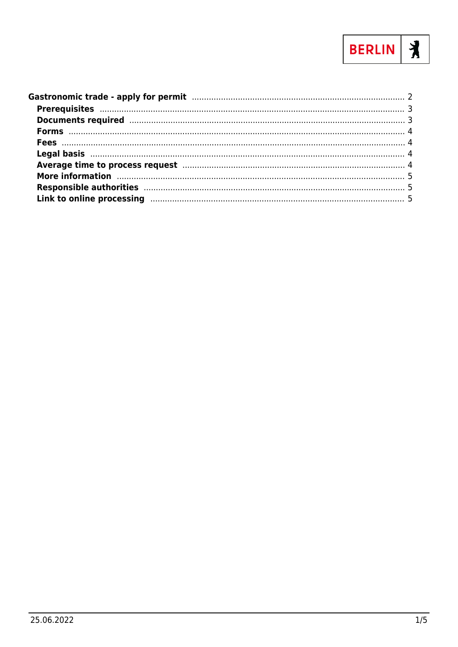

| Documents required manufactured and the contract of the contract of the contract of the contract of the contract of the contract of the contract of the contract of the contract of the contract of the contract of the contra |  |
|--------------------------------------------------------------------------------------------------------------------------------------------------------------------------------------------------------------------------------|--|
|                                                                                                                                                                                                                                |  |
|                                                                                                                                                                                                                                |  |
|                                                                                                                                                                                                                                |  |
| Average time to process request manufacture and the contract of the process request manufacture and the continuum and the contract of the contract of the contract of the contract of the contract of the contract of the cont |  |
| More information manufactured and the contract of the contract of the contract of the contract of the contract of the contract of the contract of the contract of the contract of the contract of the contract of the contract |  |
|                                                                                                                                                                                                                                |  |
|                                                                                                                                                                                                                                |  |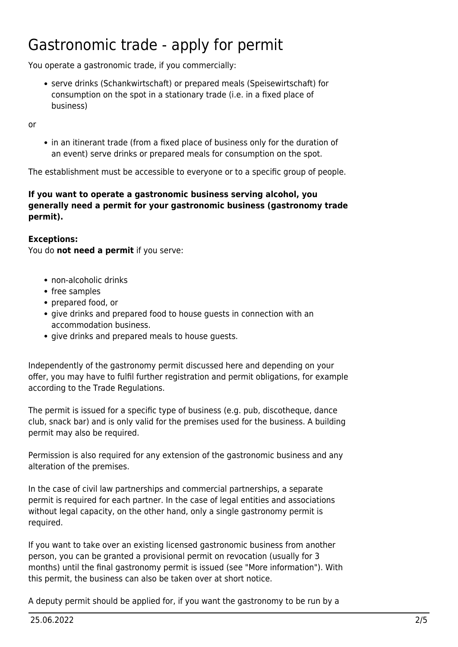# <span id="page-1-0"></span>Gastronomic trade - apply for permit

You operate a gastronomic trade, if you commercially:

serve drinks (Schankwirtschaft) or prepared meals (Speisewirtschaft) for consumption on the spot in a stationary trade (i.e. in a fixed place of business)

or

• in an itinerant trade (from a fixed place of business only for the duration of an event) serve drinks or prepared meals for consumption on the spot.

The establishment must be accessible to everyone or to a specific group of people.

#### **If you want to operate a gastronomic business serving alcohol, you generally need a permit for your gastronomic business (gastronomy trade permit).**

#### **Exceptions:**

You do **not need a permit** if you serve:

- non-alcoholic drinks
- free samples
- prepared food, or
- give drinks and prepared food to house guests in connection with an accommodation business.
- give drinks and prepared meals to house quests.

Independently of the gastronomy permit discussed here and depending on your offer, you may have to fulfil further registration and permit obligations, for example according to the Trade Regulations.

The permit is issued for a specific type of business (e.g. pub, discotheque, dance club, snack bar) and is only valid for the premises used for the business. A building permit may also be required.

Permission is also required for any extension of the gastronomic business and any alteration of the premises.

In the case of civil law partnerships and commercial partnerships, a separate permit is required for each partner. In the case of legal entities and associations without legal capacity, on the other hand, only a single gastronomy permit is required.

If you want to take over an existing licensed gastronomic business from another person, you can be granted a provisional permit on revocation (usually for 3 months) until the final gastronomy permit is issued (see "More information"). With this permit, the business can also be taken over at short notice.

A deputy permit should be applied for, if you want the gastronomy to be run by a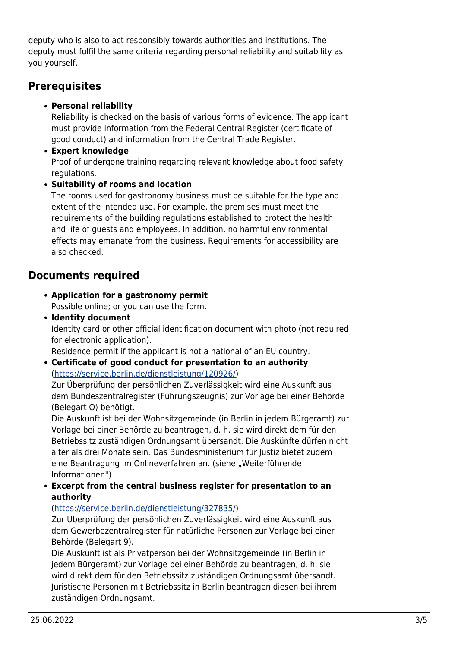deputy who is also to act responsibly towards authorities and institutions. The deputy must fulfil the same criteria regarding personal reliability and suitability as you yourself.

## <span id="page-2-0"></span>**Prerequisites**

#### **Personal reliability**

Reliability is checked on the basis of various forms of evidence. The applicant must provide information from the Federal Central Register (certificate of good conduct) and information from the Central Trade Register.

**Expert knowledge**

Proof of undergone training regarding relevant knowledge about food safety regulations.

#### **Suitability of rooms and location**

The rooms used for gastronomy business must be suitable for the type and extent of the intended use. For example, the premises must meet the requirements of the building regulations established to protect the health and life of guests and employees. In addition, no harmful environmental effects may emanate from the business. Requirements for accessibility are also checked.

## <span id="page-2-1"></span>**Documents required**

- **Application for a gastronomy permit** Possible online; or you can use the form.
- **Identity document**

Identity card or other official identification document with photo (not required for electronic application).

Residence permit if the applicant is not a national of an EU country.

**Certificate of good conduct for presentation to an authority** (<https://service.berlin.de/dienstleistung/120926/>)

Zur Überprüfung der persönlichen Zuverlässigkeit wird eine Auskunft aus dem Bundeszentralregister (Führungszeugnis) zur Vorlage bei einer Behörde (Belegart O) benötigt.

Die Auskunft ist bei der Wohnsitzgemeinde (in Berlin in jedem Bürgeramt) zur Vorlage bei einer Behörde zu beantragen, d. h. sie wird direkt dem für den Betriebssitz zuständigen Ordnungsamt übersandt. Die Auskünfte dürfen nicht älter als drei Monate sein. Das Bundesministerium für Justiz bietet zudem eine Beantragung im Onlineverfahren an. (siehe "Weiterführende Informationen")

**Excerpt from the central business register for presentation to an authority**

#### (<https://service.berlin.de/dienstleistung/327835/>)

Zur Überprüfung der persönlichen Zuverlässigkeit wird eine Auskunft aus dem Gewerbezentralregister für natürliche Personen zur Vorlage bei einer Behörde (Belegart 9).

Die Auskunft ist als Privatperson bei der Wohnsitzgemeinde (in Berlin in jedem Bürgeramt) zur Vorlage bei einer Behörde zu beantragen, d. h. sie wird direkt dem für den Betriebssitz zuständigen Ordnungsamt übersandt. Juristische Personen mit Betriebssitz in Berlin beantragen diesen bei ihrem zuständigen Ordnungsamt.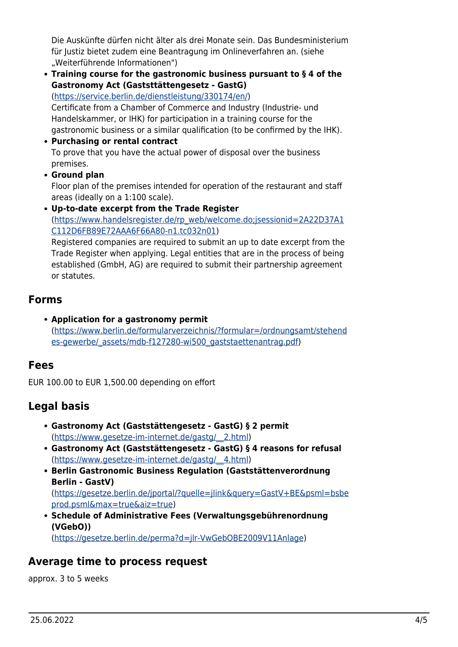Die Auskünfte dürfen nicht älter als drei Monate sein. Das Bundesministerium für Justiz bietet zudem eine Beantragung im Onlineverfahren an. (siehe "Weiterführende Informationen")

**Training course for the gastronomic business pursuant to § 4 of the Gastronomy Act (Gaststtättengesetz - GastG)**

([https://service.berlin.de/dienstleistung/330174/en/\)](https://service.berlin.de/dienstleistung/330174/en/) Certificate from a Chamber of Commerce and Industry (Industrie- und Handelskammer, or IHK) for participation in a training course for the

gastronomic business or a similar qualification (to be confirmed by the IHK). **Purchasing or rental contract**

- To prove that you have the actual power of disposal over the business premises.
- **Ground plan**

Floor plan of the premises intended for operation of the restaurant and staff areas (ideally on a 1:100 scale).

**Up-to-date excerpt from the Trade Register** ([https://www.handelsregister.de/rp\\_web/welcome.do;jsessionid=2A22D37A1](https://www.handelsregister.de/rp_web/welcome.do;jsessionid=2A22D37A1C112D6FB89E72AAA6F66A80-n1.tc032n01) [C112D6FB89E72AAA6F66A80-n1.tc032n01](https://www.handelsregister.de/rp_web/welcome.do;jsessionid=2A22D37A1C112D6FB89E72AAA6F66A80-n1.tc032n01))

Registered companies are required to submit an up to date excerpt from the Trade Register when applying. Legal entities that are in the process of being established (GmbH, AG) are required to submit their partnership agreement or statutes.

### <span id="page-3-0"></span>**Forms**

**Application for a gastronomy permit** ([https://www.berlin.de/formularverzeichnis/?formular=/ordnungsamt/stehend](https://www.berlin.de/formularverzeichnis/?formular=/ordnungsamt/stehendes-gewerbe/_assets/mdb-f127280-wi500_gaststaettenantrag.pdf) [es-gewerbe/\\_assets/mdb-f127280-wi500\\_gaststaettenantrag.pdf\)](https://www.berlin.de/formularverzeichnis/?formular=/ordnungsamt/stehendes-gewerbe/_assets/mdb-f127280-wi500_gaststaettenantrag.pdf)

## <span id="page-3-1"></span>**Fees**

EUR 100.00 to EUR 1,500.00 depending on effort

## <span id="page-3-2"></span>**Legal basis**

- **Gastronomy Act (Gaststättengesetz GastG) § 2 permit** ([https://www.gesetze-im-internet.de/gastg/\\_\\_2.html\)](https://www.gesetze-im-internet.de/gastg/__2.html)
- **Gastronomy Act (Gaststättengesetz GastG) § 4 reasons for refusal** ([https://www.gesetze-im-internet.de/gastg/\\_\\_4.html\)](https://www.gesetze-im-internet.de/gastg/__4.html)
- **Berlin Gastronomic Business Regulation (Gaststättenverordnung Berlin - GastV)** ([https://gesetze.berlin.de/jportal/?quelle=jlink&query=GastV+BE&psml=bsbe](https://gesetze.berlin.de/jportal/?quelle=jlink&query=GastV+BE&psml=bsbeprod.psml&max=true&aiz=true) [prod.psml&max=true&aiz=true\)](https://gesetze.berlin.de/jportal/?quelle=jlink&query=GastV+BE&psml=bsbeprod.psml&max=true&aiz=true)
- **Schedule of Administrative Fees (Verwaltungsgebührenordnung (VGebO))**

([https://gesetze.berlin.de/perma?d=jlr-VwGebOBE2009V11Anlage\)](https://gesetze.berlin.de/perma?d=jlr-VwGebOBE2009V11Anlage)

# <span id="page-3-3"></span>**Average time to process request**

approx. 3 to 5 weeks